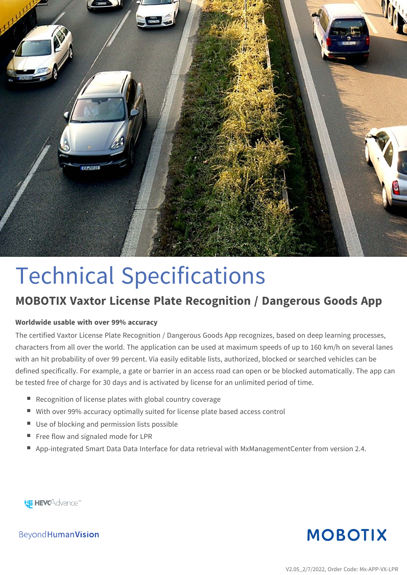

# Technical Specifications

## **MOBOTIX Vaxtor License Plate Recognition / Dangerous Goods App**

#### **Worldwide usable with over 99% accuracy**

The certified Vaxtor License Plate Recognition / Dangerous Goods App recognizes, based on deep learning processes, characters from all over the world. The application can be used at maximum speeds of up to 160 km/h on several lanes with an hit probability of over 99 percent. Via easily editable lists, authorized, blocked or searched vehicles can be defined specifically. For example, a gate or barrier in an access road can open or be blocked automatically. The app can be tested free of charge for 30 days and is activated by license for an unlimited period of time.

- Recognition of license plates with global country coverage
- With over 99% accuracy optimally suited for license plate based access control
- Use of blocking and permission lists possible
- Free flow and signaled mode for LPR
- App-integrated Smart Data Data Interface for data retrieval with MxManagementCenter from version 2.4.

**HE HEVCAdvance** 



**Beyond Human Vision**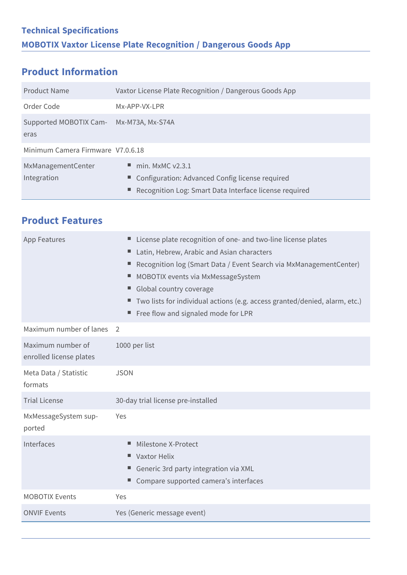### **Product Information**

**Product Features**

| Product Name                                    | Vaxtor License Plate Recognition / Dangerous Goods App                                                                                           |
|-------------------------------------------------|--------------------------------------------------------------------------------------------------------------------------------------------------|
| Order Code                                      | Mx-APP-VX-LPR                                                                                                                                    |
| Supported MOBOTIX Cam- Mx-M73A, Mx-S74A<br>eras |                                                                                                                                                  |
| Minimum Camera Firmware V7.0.6.18               |                                                                                                                                                  |
| MxManagementCenter<br>Integration               | $\blacksquare$ min. MxMC v2.3.1<br>■ Configuration: Advanced Config license required<br>■ Recognition Log: Smart Data Interface license required |

| App Features                                 | License plate recognition of one- and two-line license plates<br>Latin, Hebrew, Arabic and Asian characters<br>ш.<br>Recognition log (Smart Data / Event Search via MxManagementCenter)<br>ш.<br>MOBOTIX events via MxMessageSystem<br>Global country coverage<br>■ Two lists for individual actions (e.g. access granted/denied, alarm, etc.)<br>Free flow and signaled mode for LPR |
|----------------------------------------------|---------------------------------------------------------------------------------------------------------------------------------------------------------------------------------------------------------------------------------------------------------------------------------------------------------------------------------------------------------------------------------------|
| Maximum number of lanes                      | 2                                                                                                                                                                                                                                                                                                                                                                                     |
| Maximum number of<br>enrolled license plates | 1000 per list                                                                                                                                                                                                                                                                                                                                                                         |
| Meta Data / Statistic<br>formats             | <b>JSON</b>                                                                                                                                                                                                                                                                                                                                                                           |
| <b>Trial License</b>                         | 30-day trial license pre-installed                                                                                                                                                                                                                                                                                                                                                    |
| MxMessageSystem sup-<br>ported               | Yes                                                                                                                                                                                                                                                                                                                                                                                   |
| Interfaces                                   | Milestone X-Protect<br>■ Vaxtor Helix<br>Generic 3rd party integration via XML<br>Compare supported camera's interfaces                                                                                                                                                                                                                                                               |
| <b>MOBOTIX Events</b>                        | Yes                                                                                                                                                                                                                                                                                                                                                                                   |
| <b>ONVIF Events</b>                          | Yes (Generic message event)                                                                                                                                                                                                                                                                                                                                                           |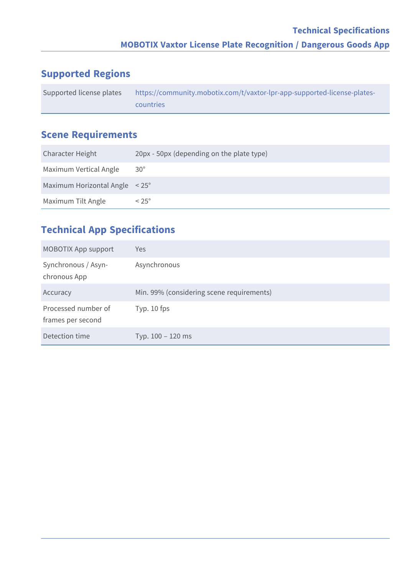### **Supported Regions**

| Supported license plates | https://community.mobotix.com/t/vaxtor-lpr-app-supported-license-plates-/ |
|--------------------------|---------------------------------------------------------------------------|
|                          | countries                                                                 |

### **Scene Requirements**

| Character Height               | 20px - 50px (depending on the plate type) |
|--------------------------------|-------------------------------------------|
| Maximum Vertical Angle         | $30^{\circ}$                              |
| Maximum Horizontal Angle < 25° |                                           |
| Maximum Tilt Angle             | $< 25^{\circ}$                            |

#### **Technical App Specifications**

| <b>MOBOTIX App support</b>               | <b>Yes</b>                                |
|------------------------------------------|-------------------------------------------|
| Synchronous / Asyn-<br>chronous App      | Asynchronous                              |
| Accuracy                                 | Min. 99% (considering scene requirements) |
| Processed number of<br>frames per second | Typ. $10$ fps                             |
| Detection time                           | Typ. 100 - 120 ms                         |